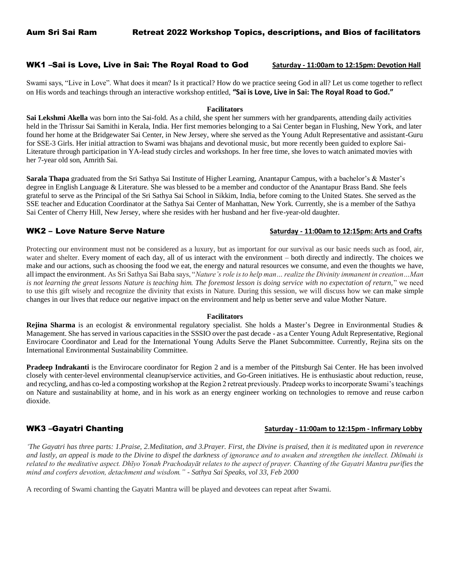## WK1 –Sai is Love, Live in Sai: The Royal Road to God **Saturday - 11:00am to 12:15pm: Devotion Hall**

Swami says, "Live in Love". What does it mean? Is it practical? How do we practice seeing God in all? Let us come together to reflect on His words and teachings through an interactive workshop entitled, **"Sai is Love, Live in Sai: The Royal Road to God."**

## **Facilitators**

**Sai Lekshmi Akella** was born into the Sai-fold. As a child, she spent her summers with her grandparents, attending daily activities held in the Thrissur Sai Samithi in Kerala, India. Her first memories belonging to a Sai Center began in Flushing, New York, and later found her home at the Bridgewater Sai Center, in New Jersey, where she served as the Young Adult Representative and assistant-Guru for SSE-3 Girls. Her initial attraction to Swami was bhajans and devotional music, but more recently been guided to explore Sai-Literature through participation in YA-lead study circles and workshops. In her free time, she loves to watch animated movies with her 7-year old son, Amrith Sai.

**Sarala Thapa** graduated from the Sri Sathya Sai Institute of Higher Learning, Anantapur Campus, with a bachelor's & Master's degree in English Language & Literature. She was blessed to be a member and conductor of the Anantapur Brass Band. She feels grateful to serve as the Principal of the Sri Sathya Sai School in Sikkim, India, before coming to the United States. She served as the SSE teacher and Education Coordinator at the Sathya Sai Center of Manhattan, New York. Currently, she is a member of the Sathya Sai Center of Cherry Hill, New Jersey, where she resides with her husband and her five-year-old daughter.

# WK2 – Love Nature Serve Nature **Saturday - 11:00am to 12:15pm: Arts and Crafts**

Protecting our environment must not be considered as a luxury, but as important for our survival as our basic needs such as food, air, water and shelter. Every moment of each day, all of us interact with the environment – both directly and indirectly. The choices we make and our actions, such as choosing the food we eat, the energy and natural resources we consume, and even the thoughts we have, all impact the environment. As Sri Sathya Sai Baba says, "*Nature's role is to help man… realize the Divinity immanent in creation…Man is not learning the great lessons Nature is teaching him. The foremost lesson is doing service with no expectation of return,*" we need to use this gift wisely and recognize the divinity that exists in Nature. During this session, we will discuss how we can make simple changes in our lives that reduce our negative impact on the environment and help us better serve and value Mother Nature.

### **Facilitators**

**Rejina Sharma** is an ecologist & environmental regulatory specialist. She holds a Master's Degree in Environmental Studies & Management. She has served in various capacities in the SSSIO over the past decade - as a Center Young Adult Representative, Regional Envirocare Coordinator and Lead for the International Young Adults Serve the Planet Subcommittee. Currently, Rejina sits on the International Environmental Sustainability Committee.

**Pradeep Indrakanti** is the Envirocare coordinator for Region 2 and is a member of the Pittsburgh Sai Center. He has been involved closely with center-level environmental cleanup/service activities, and Go-Green initiatives. He is enthusiastic about reduction, reuse, and recycling, and has co-led a composting workshop at the Region 2 retreat previously. Pradeep works to incorporate Swami's teachings on Nature and sustainability at home, and in his work as an energy engineer working on technologies to remove and reuse carbon dioxide.

# WK3 –Gayatri Chanting **Saturday - 11:00am to 12:15pm - Infirmary Lobby**

*The Gayatri has three parts: 1.Praise, 2.Meditation, and 3.Prayer. First, the Divine is praised, then it is meditated upon in reverence and lastly, an appeal is made to the Divine to dispel the darkness of ignorance and to awaken and strengthen the intellect. Dhīmahi is related to the meditative aspect. Dhīyo Yonah Prachodayāt relates to the aspect of prayer. Chanting of the Gayatri Mantra purifies the mind and confers devotion, detachment and wisdom."* - *Sathya Sai Speaks, vol 33, Feb 2000*

A recording of Swami chanting the Gayatri Mantra will be played and devotees can repeat after Swami.